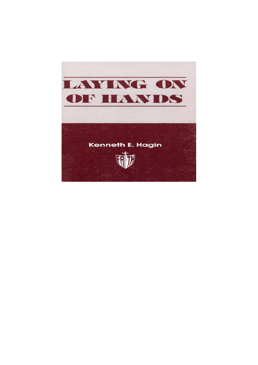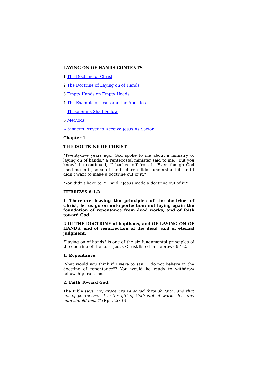## **LAYING ON OF HANDS CONTENTS**

- 1 The Doctrine of Christ
- 2 The Doctrine of Laying on of Hands
- 3 Empty Hands on Empty Heads
- 4 The Example of Jesus and the Apostles
- 5 These Signs Shall Follow
- 6 Methods

A Sinner's Prayer to Receive Jesus As Savior

#### **Chapter 1**

# **THE DOCTRINE OF CHRIST**

"Twenty-five years ago, God spoke to me about a ministry of laying on of hands," a Pentecostal minister said to me. "But you know," he continued, "I backed off from it. Even though God used me in it, some of the brethren didn't understand it, and I didn't want to make a doctrine out of it."

"You didn't have to, " I said. "Jesus made a doctrine out of it."

# **HEBREWS 6:1,2**

**1 Therefore leaving the principles of the doctrine of Christ, let us go on unto perfection; not laying again the foundation of repentance from dead works, and of faith toward God.**

## **2 Of THE DOCTRINE of baptisms, and OF LAYING ON OF HANDS, and of resurrection of the dead, and of eternal judgment.**

"Laying on of hands" is one of the six fundamental principles of the doctrine of the Lord Jesus Christ listed in Hebrews 6:1-2.

## **1. Repentance.**

What would you think if I were to say, "I do not believe in the doctrine of repentance"? You would be ready to withdraw fellowship from me.

# **2. Faith Toward God.**

The Bible says, *"By grace are ye saved through faith: and that not of yourselves: it is the gift of God: Not of works, lest any man should boast"* (Eph. 2:8-9).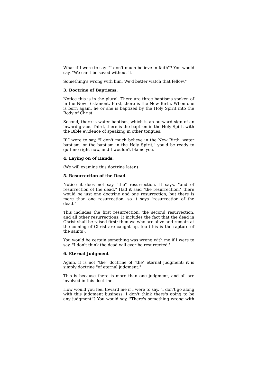What if I were to say, "I don't much believe in faith"? You would say, "We can't be saved without it.

Something's wrong with him. We'd better watch that fellow."

# **3. Doctrine of Baptisms.**

Notice this is in the plural. There are three baptisms spoken of in the New Testament. First, there is the New Birth. When one is born again, he or she is baptized by the Holy Spirit into the Body of Christ.

Second, there is water baptism, which is an outward sign of an inward grace. Third, there is the baptism in the Holy Spirit with the Bible evidence of speaking in other tongues.

If I were to say, "I don't much believe in the New Birth, water baptism, or the baptism in the Holy Spirit," you'd be ready to quit me right now, and I wouldn't blame you.

# **4. Laying on of Hands.**

(We will examine this doctrine later.)

## **5. Resurrection of the Dead.**

Notice it does not say "the" resurrection. It says, "and of resurrection of the dead." Had it said "the resurrection," there would be just one doctrine and one resurrection; but there is more than one resurrection, so it says "resurrection of the dead."

This includes the first resurrection, the second resurrection, and all other resurrections. It includes the fact that the dead in Christ shall be raised first; then we who are alive and remain at the coming of Christ are caught up, too (this is the rapture of the saints).

You would be certain something was wrong with me if I were to say, "I don't think the dead will ever be resurrected."

## **6. Eternal Judgment**

Again, it is not "the" doctrine of "the" eternal judgment; it is simply doctrine "of eternal judgment."

This is because there is more than one judgment, and all are involved in this doctrine.

How would you feel toward me if I were to say, "I don't go along with this judgment business. I don't think there's going to be any judgment"? You would say, "There's something wrong with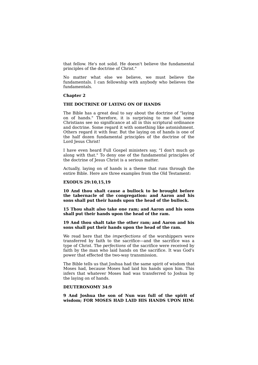that fellow. He's not solid. He doesn't believe the fundamental principles of the doctrine of Christ."

No matter what else we believe, we must believe the fundamentals. I can fellowship with anybody who believes the fundamentals.

## **Chapter 2**

#### **THE DOCTRINE OF LAYING ON OF HANDS**

The Bible has a great deal to say about the doctrine of "laying on of hands." Therefore, it is surprising to me that some Christians see no significance at all in this scriptural ordinance and doctrine. Some regard it with something like astonishment. Others regard it with fear. But the laying on of hands is one of the half dozen fundamental principles of the doctrine of the Lord Jesus Christ!

I have even heard Full Gospel ministers say, "I don't much go along with that." To deny one of the fundamental principles of the doctrine of Jesus Christ is a serious matter.

Actually, laying on of hands is a theme that runs through the entire Bible. Here are three examples from the Old Testament:

## **EXODUS 29:10,15,19**

**10 And thou shalt cause a bullock to be brought before the tabernacle of the congregation: and Aaron and his sons shall put their hands upon the head of the bullock.**

**15 Thou shalt also take one ram; and Aaron and his sons shall put their hands upon the head of the ram.**

## **19 And thou shalt take the other ram; and Aaron and his sons shall put their hands upon the head of the ram.**

We read here that the *imperfections* of the worshippers were transferred by faith to the sacrifice—and the sacrifice was a type of Christ. The *perfections* of the sacrifice were received by faith by the man who laid hands on the sacrifice. It was God's power that effected the two-way transmission.

The Bible tells us that Joshua had the same spirit of wisdom that Moses had, because Moses had laid his hands upon him. This infers that whatever Moses had was transferred to Joshua by the laying on of hands.

## **DEUTERONOMY 34:9**

**9 And Joshua the son of Nun was full of the spirit of wisdom; FOR MOSES HAD LAID HIS HANDS UPON HIM:**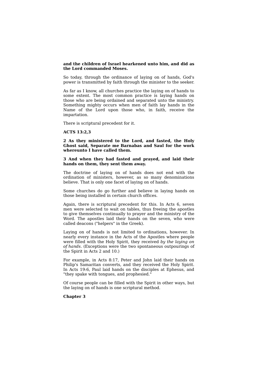## **and the children of Israel hearkened unto him, and did as the Lord commanded Moses.**

So today, through the ordinance of laying on of hands, God's power is transmitted by faith through the minister to the seeker.

As far as I know, all churches practice the laying on of hands to some extent. The most common practice is laying hands on those who are being ordained and separated unto the ministry. Something mighty occurs when men of faith lay hands in the Name of the Lord upon those who, in faith, receive the impartation.

There is scriptural precedent for it.

## **ACTS 13:2,3**

**2 As they ministered to the Lord, and fasted, the Holy Ghost said, Separate me Barnabas and Saul for the work whereunto I have called them.**

## **3 And when they had fasted and prayed, and laid their hands on them, they sent them away.**

The doctrine of laying on of hands does not end with the ordination of ministers, however, as so many denominations believe. That is only one facet of laying on of hands.

Some churches do go further and believe in laying hands on those being installed in certain church offices.

Again, there is scriptural precedent for this. In Acts 6, seven men were selected to wait on tables, thus freeing the apostles to give themselves continually to prayer and the ministry of the Word. The apostles laid their hands on the seven, who were called deacons ("helpers" in the Greek).

Laying on of hands is not limited to ordinations, however. In nearly every instance in the Acts of the Apostles where people were filled with the Holy Spirit, they received *by the laying on of hands.* (Exceptions were the two spontaneous outpourings of the Spirit in Acts 2 and 10.)

For example, in Acts 8:17, Peter and John laid their hands on Philip's Samaritan converts, and they received the Holy Spirit. In Acts 19:6, Paul laid hands on the disciples at Ephesus, and "they spake with tongues, and prophesied."

Of course people can be filled with the Spirit in other ways, but the laying on of hands is one scriptural method.

# **Chapter 3**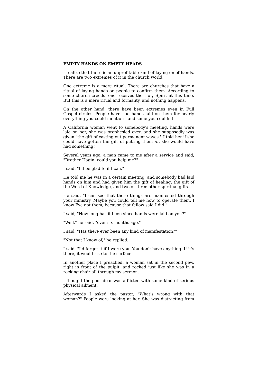# **EMPTY HANDS ON EMPTY HEADS**

I realize that there is an unprofitable kind of laying on of hands. There are two extremes of it in the church world.

One extreme is a mere ritual. There are churches that have a ritual of laying hands on people to confirm them. According to some church creeds, one receives the Holy Spirit at this time. But this is a mere ritual and formality, and nothing happens.

On the other hand, there have been extremes even in Full Gospel circles. People have had hands laid on them for nearly everything you could mention—and some you couldn't.

A California woman went to somebody's meeting, hands were laid on her, she was prophesied over, and she supposedly was given "the gift of casting out permanent waves." I told her if she could have gotten the gift of putting them *in,* she would have had something!

Several years ago, a man came to me after a service and said, "Brother Hagin, could you help me?"

I said, "I'll be glad to if I can."

He told me he was in a certain meeting, and somebody had laid hands on him and had given him the gift of healing, the gift of the Word of Knowledge, and two or three other spiritual gifts.

He said, "I can see that these things are manifested through your ministry. Maybe you could tell me how to operate them. I know I've got them, because that fellow said I did."

I said, "How long has it been since hands were laid on you?"

"Well," he said, "over six months ago."

I said, "Has there ever been any kind of manifestation?"

"Not that I know of," he replied.

I said, "I'd forget it if I were you. You don't have anything. If it's there, it would rise to the surface."

In another place I preached, a woman sat in the second pew, right in front of the pulpit, and rocked just like she was in a rocking chair all through my sermon.

I thought the poor dear was afflicted with some kind of serious physical ailment.

Afterwards I asked the pastor, "What's wrong with that woman?" People were looking at her. She was distracting from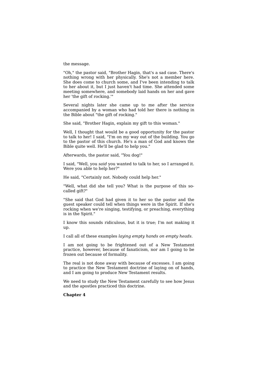the message.

"Oh," the pastor said, "Brother Hagin, that's a sad case. There's nothing wrong with her physically. She's not a member here. She does come to church some, and I've been intending to talk to her about it, but I just haven't had time. She attended some meeting somewhere, and somebody laid hands on her and gave her 'the gift of rocking.'"

Several nights later she came up to me after the service accompanied by a woman who had told her there is nothing in the Bible about "the gift of rocking."

She said, "Brother Hagin, explain my gift to this woman."

Well, I thought that would be a good opportunity for the pastor to talk to her! I said, "I'm on my way out of the building. You go to the pastor of this church. He's a man of God and knows the Bible quite well. He'll be glad to help you."

Afterwards, the pastor said, "You dog!"

I said, "Well, you *said* you wanted to talk to her, so I arranged it. Were you able to help her?"

He said, "Certainly not. Nobody could help her."

"Well, what did she tell you? What is the purpose of this socalled gift?"

"She said that God had given it to her so the pastor and the guest speaker could tell when things were in the Spirit. If she's rocking when we're singing, testifying, or preaching, everything is in the Spirit."

I know this sounds ridiculous, but it is true; I'm not making it up.

I call all of these examples *laying empty hands on empty heads.*

I am not going to be frightened out of a New Testament practice, however, because of fanaticism, nor am I going to be frozen out because of formality.

The real is not done away with because of excesses. I am going to practice the New Testament doctrine of laying on of hands, and I am going to produce New Testament results.

We need to study the New Testament carefully to see how Jesus and the apostles practiced this doctrine.

#### **Chapter 4**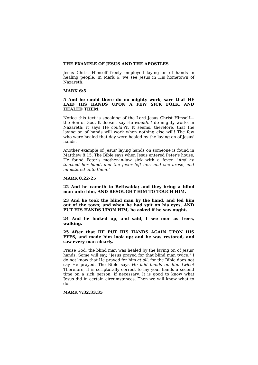## **THE EXAMPLE OF JESUS AND THE APOSTLES**

Jesus Christ Himself freely employed laying on of hands in healing people. In Mark 6, we see Jesus in His hometown of Nazareth:

#### **MARK 6:5**

#### **5 And he could there do no mighty work, save that HE LAID HIS HANDS UPON A FEW SICK FOLK, AND HEALED THEM.**

Notice this text is speaking of the Lord Jesus Christ Himself the Son of God. It doesn't say He *wouldn't* do mighty works in Nazareth; it says He *couldn't.* It seems, therefore, that the laying on of hands will work when nothing else will! The few who were healed that day were healed by the laying on of Jesus' hands.

Another example of Jesus' laying hands on someone is found in Matthew 8:15. The Bible says when Jesus entered Peter's house, He found Peter's mother-in-law sick with a fever. *"And he touched her hand, and the fever left her: and she arose, and ministered unto them."*

#### **MARK 8:22-25**

**22 And he cameth to Bethsaida; and they bring a blind man unto him, AND BESOUGHT HIM TO TOUCH HIM.**

**23 And he took the blind man by the hand, and led him out of the town; and when he had spit on his eyes, AND PUT HIS HANDS UPON HIM, he asked if he saw ought.**

**24 And he looked up, and said, I see men as trees, walking.**

**25 After that HE PUT HIS HANDS AGAIN UPON HIS EYES, and made him look up; and he was restored, and saw every man clearly.**

Praise God, the blind man was healed by the laying on of Jesus' hands. Some will say, "Jesus prayed for that blind man twice." I do not know that He prayed for him *at all,* for the Bible does not say He prayed. The Bible says *He laid hands on him twice!* Therefore, it is scripturally correct to lay your hands a second time on a sick person, if necessary. It is good to know what Jesus did in certain circumstances. Then we will know what to do.

## **MARK 7:32,33,35**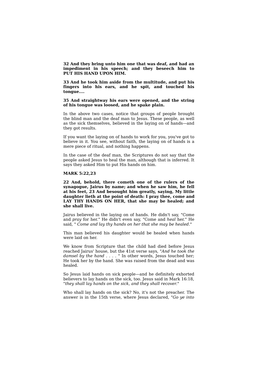**32 And they bring unto him one that was deaf, and had an impediment in his speech; and they beseech him to PUT HIS HAND UPON HIM.**

**33 And he took him aside from the multitude, and put his fingers into his ears, and he spit, and touched his tongue....**

## **35 And straightway his ears were opened, and the string of his tongue was loosed, and he spake plain.**

In the above two cases, notice that groups of people brought the blind man and the deaf man to Jesus. These people, as well as the sick themselves, believed in the laying on of hands—and they got results.

If you want the laying on of hands to work for you, you've got to believe in it. You see, without faith, the laying on of hands is a mere piece of ritual, and nothing happens.

In the case of the deaf man, the Scriptures do not say that the people asked Jesus to heal the man, although that is inferred. It says they asked Him to put His hands on him.

## **MARK 5:22,23**

**22 And, behold, there cometh one of the rulers of the synagogue, Jairus by name; and when he saw him, he fell at his feet, 23 And besought him greatly, saying, My little daughter lieth at the point of death: I pray thee, come and LAY THY HANDS ON HER, that she may be healed; and she shall live.**

Jairus believed in the laying on of hands. He didn't say, "Come and *pray* for her." He didn't even say, "Come and *heal* her." He said, " *Come and lay thy hands on her that she may be healed."*

This man believed his daughter would be healed when hands were laid on her.

We know from Scripture that the child had died before Jesus reached Jairus' house, but the 41st verse says, *"And he took the damsel by the hand .* . . . " In other words, Jesus touched her; He took her by the hand. She was raised from the dead and was healed.

So Jesus laid hands on sick people—and he definitely exhorted believers to lay hands on the sick, too. Jesus said in Mark 16:18, *"they shall lay hands on the sick, and they shall recover."*

Who shall lay hands on the sick? No, it's not the preacher. The answer is in the 15th verse, where Jesus declared, *"Go ye into*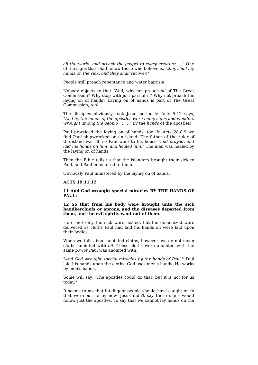*all the world, and preach the gospel to every creature ...."* One of the signs that shall follow those who believe is, *"they shall lay hands on the sick, and they shall recover."*

People still preach repentance and water baptism.

Nobody objects to that. Well, why not preach *all* of The Great Commission? Why stop with just part of it? Why not preach the laying on of hands? Laying on of hands is part of The Great Commission, too!

The disciples obviously took Jesus seriously. Acts 5:12 says, *"And by the hands of the apostles were many signs and wonders wrought among the people* . . . . " By the *hands* of the apostles!

Paul practiced the laying on of hands, too. In Acts 28:8,9 we find Paul shipwrecked on an island. The father of the ruler of the island was ill, so Paul went to his house *"and prayed, and laid his hands on him, and healed him."* The man was healed by the laying on of hands.

Then the Bible tells us that the islanders brought their sick to Paul, and Paul ministered to them.

Obviously Paul ministered by the laying on of hands.

#### **ACTS 19:11,12**

## **11 And God wrought special miracles BY THE HANDS OF PAUL:**

**12 So that from his body were brought unto the sick handkerchiefs or aprons, and the diseases departed from them, and the evil spirits went out of them.**

Here, not only the sick were healed, but the demonized were delivered as cloths Paul had laid his hands on were laid upon their bodies.

When we talk about anointed cloths, however, we do not mean cloths anointed with *oil.* These cloths were anointed with the same *power* Paul was anointed with.

*"And God wrought special miracles by the hands of Paul."* Paul laid his hands upon the cloths. God uses men's hands. He works by men's hands.

Some will say, "The apostles could do that, but it is not for us today."

It seems to me that intelligent people should have caught on to that worn-out lie by now. Jesus didn't say these signs would follow just the apostles. To say that we cannot lay hands on the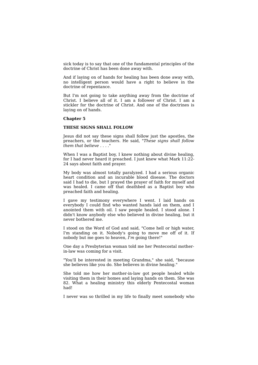sick today is to say that one of the fundamental principles of the doctrine of Christ has been done away with.

And if laying on of hands for healing has been done away with, no intelligent person would have a right to believe in the doctrine of repentance.

But I'm not going to take anything away from the doctrine of Christ. I believe all of it. I am a follower of Christ. I am a stickler for the doctrine of Christ. And one of the doctrines is laying on of hands.

#### **Chapter 5**

# **THESE SIGNS SHALL FOLLOW**

Jesus did not say these signs shall follow just the apostles, the preachers, or the teachers. He said, *"These signs shall follow them that believe . . . ."*

When I was a Baptist boy, I knew nothing about divine healing, for I had never heard it preached. I just knew what Mark 11:22- 24 says about faith and prayer.

My body was almost totally paralyzed. I had a serious organic heart condition and an incurable blood disease. The doctors said I had to die, but I prayed the prayer of faith for myself and was healed. I came off that deathbed as a Baptist boy who preached faith and healing.

I gave my testimony everywhere I went. I laid hands on everybody I could find who wanted hands laid on them, and I anointed them with oil. I saw people healed. I stood alone. I didn't know anybody else who believed in divine healing, but it never bothered me.

I stood on the Word of God and said, "Come hell or high water, I'm standing on it. Nobody's going to move me off of it. If nobody but me goes to heaven, *I'm* going there!"

One day a Presbyterian woman told me her Pentecostal motherin-law was coming for a visit.

"You'll be interested in meeting Grandma," she said, "because she believes like you do. She believes in divine healing."

She told me how her mother-in-law got people healed while visiting them in their homes and laying hands on them. She was 82. What a healing ministry this elderly Pentecostal woman had!

I never was so thrilled in my life to finally meet somebody who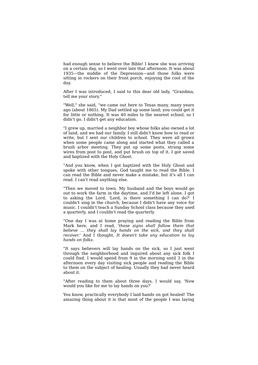had enough sense to believe the Bible! I knew she was arriving on a certain day, so I went over late that afternoon. It was about 1935—the middle of the Depression—and those folks were sitting in rockers on their front porch, enjoying the cool of the day.

After I was introduced, I said to this dear old lady, "Grandma, tell me your story."

"Well," she said, "we came out here to Texas many, many years ago (about 1865). My Dad settled up some land; you could get it for little or nothing. It was 40 miles to the nearest school, so I didn't go. I didn't get any education.

"I grew up, married a neighbor boy whose folks also owned a lot of land, and we had our family. I still didn't know how to read or write, but I sent our children to school. They were all grown when some people came along and started what they called a brush arbor meeting. They put up some posts, strung some wires from post to post, and put brush on top of it. I got saved and baptized with the Holy Ghost.

"And you know, when I got baptized with the Holy Ghost and spoke with other tongues, God taught me to read the Bible. I can read the Bible and never make a mistake, but it's all I can read. I can't read anything else.

"Then we moved to town. My husband and the boys would go out to work the farm in the daytime, and I'd be left alone. I got to asking the Lord, 'Lord, is there something I can do?' I couldn't sing in the church, because I didn't have any voice for music. I couldn't teach a Sunday School class because they used a quarterly, and I couldn't read the quarterly.

"One day I was at home praying and reading the Bible from Mark here, and I read, *'these signs shall follow them that believe ... they shall lay hands on the sick, and they shall recover.'* And I thought, *It doesn't take any education to lay hands on folks.*

"It says believers will lay hands on the sick, so I just went through the neighborhood and inquired about any sick folk I could find. I would spend from 9 in the morning until 3 in the afternoon every day visiting sick people and reading the Bible to them on the subject of healing. Usually they had never heard about it.

"After reading to them about three days, I would say, 'Now would you like for me to lay hands on you?'

You know, practically everybody I laid hands on got healed! The amazing thing about it is that most of the people I was laying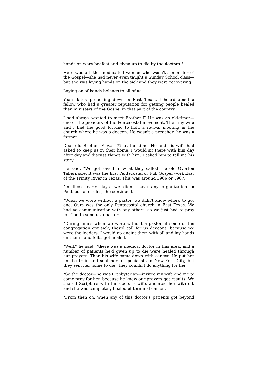hands on were bedfast and given up to die by the doctors."

Here was a little uneducated woman who wasn't a minister of the Gospel—she had never even taught a Sunday School class but she was laying hands on the sick and they were recovering.

Laying on of hands belongs to all of us.

Years later, preaching down in East Texas, I heard about a fellow who had a greater reputation for getting people healed than ministers of the Gospel in that part of the country.

I had always wanted to meet Brother F. He was an old-timer one of the pioneers of the Pentecostal movement. Then my wife and I had the good fortune to hold a revival meeting in the church where he was a deacon. He wasn't a preacher; he was a farmer.

Dear old Brother F. was 72 at the time. He and his wife had asked to keep us in their home. I would sit there with him day after day and discuss things with him. I asked him to tell me his story.

He said, "We got saved in what they called the old Overton Tabernacle. It was the first Pentecostal or Full Gospel work East of the Trinity River in Texas. This was around 1906 or 1907.

"In those early days, we didn't have any organization in Pentecostal circles," he continued.

"When we were without a pastor, we didn't know where to get one. Ours was the only Pentecostal church in East Texas. We had no communication with any others, so we just had to pray for God to send us a pastor.

"During times when we were without a pastor, if some of the congregation got sick, they'd call for us deacons, because we were the leaders. I would go anoint them with oil and lay hands on them—and folks got healed.

"Well," he said, "there was a medical doctor in this area, and a number of patients he'd given up to die were healed through our prayers. Then his wife came down with cancer. He put her on the train and sent her to specialists in New York City, but they sent her home to die. They couldn't do anything for her.

"So the doctor—he was Presbyterian—invited my wife and me to come pray for her, because he knew our prayers got results. We shared Scripture with the doctor's wife, anointed her with oil, and she was completely healed of terminal cancer.

"From then on, when any of this doctor's patients got beyond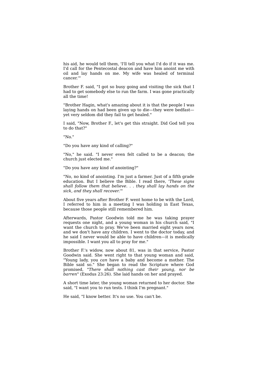his aid, he would tell them, 'I'll tell you what I'd do if it was me. I'd call for the Pentecostal deacon and have him anoint me with oil and lay hands on me. My wife was healed of terminal cancer.'"

Brother F. said, "I got so busy going and visiting the sick that I had to get somebody else to run the farm. I was gone practically all the time!

"Brother Hagin, what's amazing about it is that the people I was laying hands on had been given up to die—they were bedfast yet very seldom did they fail to get healed."

I said, "Now, Brother F., let's get this straight. Did God tell you to do that?"

"No."

"Do you have any kind of calling?"

"No," he said. "I never even felt called to be a deacon; the church just elected me."

"Do you have any kind of anointing?"

"No, no kind of anointing. I'm just a farmer. Just of a fifth grade education. But I believe the Bible. I read there, *'These signs shall follow them that believe. . . they shall lay hands on the sick, and they shall recover.'"*

About five years after Brother F. went home to be with the Lord, I referred to him in a meeting I was holding in East Texas, because those people still remembered him.

Afterwards, Pastor Goodwin told me he was taking prayer requests one night, and a young woman in his church said, "I want the church to pray. We've been married eight years now, and we don't have any children. I went to the doctor today, and he said I never would be able to have children—it is medically impossible. I want you all to pray for me."

Brother F.'s widow, now about 81, was in that service, Pastor Goodwin said. She went right to that young woman and said, "Young lady, you *can* have a baby and become a mother. The Bible said so." She began to read the Scripture where God promised, *"There shall nothing cast their young, nor be barren"* (Exodus 23:26). She laid hands on her and prayed.

A short time later, the young woman returned to her doctor. She said, "I want you to run tests. I think I'm pregnant."

He said, "I know better. It's no use. You can't be.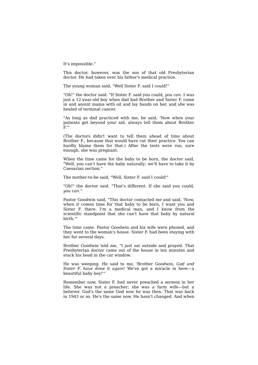It's impossible."

This doctor, however, was the son of that old Presbyterian doctor. He had taken over his father's medical practice.

The young woman said, "Well Sister F. said I could!"

"Oh!" the doctor said. "If Sister F. said you could, *you can.* I was just a 12-year-old boy when dad had Brother and Sister F. come in and anoint mama with oil and lay hands on her, and she was healed of terminal cancer.

"As long as dad practiced with me, he said, 'Now when your patients get beyond your aid, always tell them about Brother  $F^{\rm in}$ 

(The doctors didn't want to tell them ahead of time about Brother F., because that would have cut their practice. You can hardly blame them for that.) After the tests were run, sure enough, she was pregnant.

When the time came for the baby to be born, the doctor said, "Well, you can't have the baby naturally; we'll have to take it by Caesarian section."

The mother-to-be said, "Well, Sister F. said I could!"

"Oh!" the doctor said. "That's different. If she said you could, *you can."*

Pastor Goodwin said, "This doctor contacted me and said, 'Now, when it comes time for that baby to be born, I want you and Sister F. there. I'm a medical man, and I know from the scientific standpoint that she can't have that baby by natural birth.'"

The time came. Pastor Goodwin and his wife were phoned, and they went to the woman's house. Sister F. had been staying with her for several days.

Brother Goodwin told me, "I just sat outside and prayed. That Presbyterian doctor came out of the house in ten minutes and stuck his head in the car window.

He was weeping. He said to me, 'Brother Goodwin, *God and Sister F. have done it again!* We've got a miracle in here—a beautiful baby boy!'"

Remember now, Sister F. had never preached a sermon in her life. She was not a preacher; she was a farm wife—but a believer. God's the same God now he was then. That was back in 1943 or so. He's the same now. He hasn't changed. And when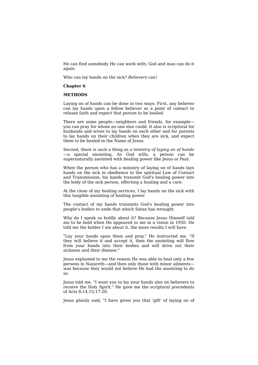He can find somebody He can work with, God and man can do it again.

Who can lay hands on the sick? *Believers* can!

#### **Chapter 6**

#### **METHODS**

Laying on of hands can be done in two ways: First, any believer can lay hands upon a fellow believer as a point of contact to release faith and expect that person to be healed.

There are some people—neighbors and friends, for example you can pray for whom no one else could. It also is scriptural for husbands and wives to lay hands on each other and for parents to lay hands on their children when they are sick, and expect them to be healed in the Name of Jesus.

Second, there is such a thing as *a ministry of laying on of hands* —a special anointing. As God wills, a person can be supernaturally anointed with healing power like Jesus or Paul.

When the person who has a ministry of laying on of hands lays hands on the sick in obedience to the spiritual Law of Contact and Transmission, his hands transmit God's healing power into the body of the sick person, effecting a healing and a cure.

At the close of my healing services, I lay hands on the sick with this tangible anointing of healing power.

The contact of my hands transmits God's healing power into people's bodies to undo that which Satan has wrought.

Why do I speak so boldly about it? Because Jesus Himself told me to be bold when He appeared to me in a vision in 1950. He told me the bolder I am about it, the more results I will have.

"Lay your hands upon them and pray," He instructed me. "If they will believe it and accept it, then the anointing will flow from your hands into their bodies and will drive out their sickness and their disease."

Jesus explained to me the reason He was able to heal only a few persons in Nazareth—and then only those with minor ailments was because they would not believe He had the anointing to do so.

Jesus told me, "I want you to lay your hands also on believers to receive the Holy Spirit." He gave me the scriptural precedents of Acts 8:14,15;17-20.

Jesus plainly said, "I have given you that 'gift' of laying on of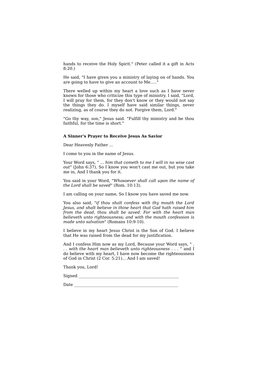hands to receive the Holy Spirit." (Peter called it a gift in Acts 8:20.)

He said, "I have given you a ministry of laying on of hands. You are going to have to give an account to Me.....'

There welled up within my heart a love such as I have never known for those who criticize this type of ministry. I said, "Lord, I will pray for them, for they don't know or they would not say the things they do. I myself have said similar things, never realizing, as of course they do not. Forgive them, Lord."

"Go thy way, son," Jesus said. "Fulfill thy ministry and be thou faithful, for the time is short."

## **A Sinner's Prayer to Receive Jesus As Savior**

Dear Heavenly Father ...

I come to you in the name of Jesus.

Your Word says, *" ... him that cometh to me I will in no wise cast out"* (John 6:37), So I know you won't cast me out, but you take me in, And I thank you for it.

You said in your Word, *"Whosoever shall call upon the name of the Lord shall be saved"* (Rom. 10:13).

I am calling on your name, So I know you have saved me now.

You also said, *"if thou shalt confess with thy mouth the Lord Jesus, and shalt believe in thine heart that God hath raised him from the dead, thou shalt be saved. For with the heart man believeth unto righteousness; and with the mouth confession is made unto salvation"* (Romans 10:9-10).

I believe in my heart Jesus Christ is the Son of God. I believe that He was raised from the dead for my justification.

And I confess Him now as my Lord, Because your Word says, " . . . *with the heart man believeth unto righteousness* . . . " and I do believe with my heart, I have now become the righteousness of God in Christ  $(2 \text{ Cor. } 5:21)$ ... And I am saved!

Thank you, Lord!

Signed  $\Box$ 

Date  $\Box$